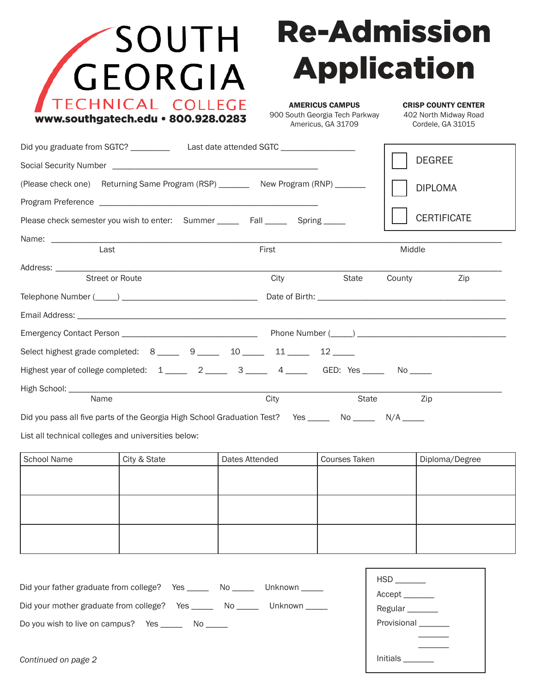

## Re-Admission Application

Initials \_\_\_\_\_\_\_

AMERICUS CAMPUS 900 South Georgia Tech Parkway Americus, GA 31709

CRISP COUNTY CENTER 402 North Midway Road Cordele, GA 31015

|                                                                           | Did you graduate from SGTC? _________________Last date attended SGTC _________________                                                                                                                                                                               |                |  |               |                 | <b>DEGREE</b>               |  |
|---------------------------------------------------------------------------|----------------------------------------------------------------------------------------------------------------------------------------------------------------------------------------------------------------------------------------------------------------------|----------------|--|---------------|-----------------|-----------------------------|--|
|                                                                           |                                                                                                                                                                                                                                                                      |                |  |               |                 |                             |  |
|                                                                           | (Please check one) Returning Same Program (RSP) __________ New Program (RNP) ________                                                                                                                                                                                |                |  |               |                 | <b>DIPLOMA</b>              |  |
|                                                                           |                                                                                                                                                                                                                                                                      |                |  |               |                 |                             |  |
|                                                                           | Please check semester you wish to enter: Summer _______ Fall _______ Spring _____                                                                                                                                                                                    |                |  |               |                 | <b>CERTIFICATE</b>          |  |
|                                                                           |                                                                                                                                                                                                                                                                      |                |  |               |                 |                             |  |
| Last                                                                      |                                                                                                                                                                                                                                                                      | First          |  |               | Middle          |                             |  |
| <b>Street or Route</b>                                                    |                                                                                                                                                                                                                                                                      | City           |  | State         | County          | Zip                         |  |
|                                                                           |                                                                                                                                                                                                                                                                      |                |  |               |                 |                             |  |
|                                                                           | Email Address: North American State of the Contract of the Contract of the Contract of the Contract of the Contract of the Contract of the Contract of the Contract of the Contract of the Contract of the Contract of the Con                                       |                |  |               |                 |                             |  |
|                                                                           |                                                                                                                                                                                                                                                                      |                |  |               |                 |                             |  |
|                                                                           | Select highest grade completed: $8 \_ 9 \_ 9 \_ 10 \_ 11 \_ 11 \_ 12 \_ 12 \_ 12 \_ 13 \_ 13 \_ 14 \_ 14 \_ 15 \_ 16 \_ 17 \_ 18 \_ 19 \_ 10 \_ 10 \_ 11 \_ 13 \_ 14 \_ 15 \_ 16 \_ 17 \_ 18 \_ 19 \_ 10 \_ 11 \_ 13 \_ 14 \_ 15 \_ 16 \_ 17 \_ 18 \_ 19 \_ 10 \_ 1$ |                |  |               |                 |                             |  |
|                                                                           | Highest year of college completed: $1 \_ 2 \_ 3 \_ 3 \_ 4 \_ 4 \_ 6$ GED: Yes $\_ $ No $\_ 1$                                                                                                                                                                        |                |  |               |                 |                             |  |
|                                                                           |                                                                                                                                                                                                                                                                      |                |  |               |                 |                             |  |
| Name                                                                      |                                                                                                                                                                                                                                                                      | City           |  | State         |                 | Zip                         |  |
|                                                                           | Did you pass all five parts of the Georgia High School Graduation Test? Yes ______ No ______ N/A _____                                                                                                                                                               |                |  |               |                 |                             |  |
| List all technical colleges and universities below:                       |                                                                                                                                                                                                                                                                      |                |  |               |                 |                             |  |
| School Name                                                               | City & State                                                                                                                                                                                                                                                         | Dates Attended |  | Courses Taken |                 | Diploma/Degree              |  |
|                                                                           |                                                                                                                                                                                                                                                                      |                |  |               |                 |                             |  |
|                                                                           |                                                                                                                                                                                                                                                                      |                |  |               |                 |                             |  |
|                                                                           |                                                                                                                                                                                                                                                                      |                |  |               |                 |                             |  |
|                                                                           |                                                                                                                                                                                                                                                                      |                |  |               |                 |                             |  |
|                                                                           |                                                                                                                                                                                                                                                                      |                |  |               |                 |                             |  |
|                                                                           |                                                                                                                                                                                                                                                                      |                |  |               |                 |                             |  |
|                                                                           |                                                                                                                                                                                                                                                                      |                |  |               |                 |                             |  |
| Did your father graduate from college? Yes ______ No _____ Unknown _____  |                                                                                                                                                                                                                                                                      |                |  |               | Accept ________ |                             |  |
| Did your mother graduate from college? Yes ______ No ______ Unknown _____ |                                                                                                                                                                                                                                                                      |                |  |               |                 | Regular <sub>________</sub> |  |
| Do you wish to live on campus? Yes ________ No ______                     |                                                                                                                                                                                                                                                                      |                |  |               | Provisional     |                             |  |
|                                                                           |                                                                                                                                                                                                                                                                      |                |  |               |                 |                             |  |